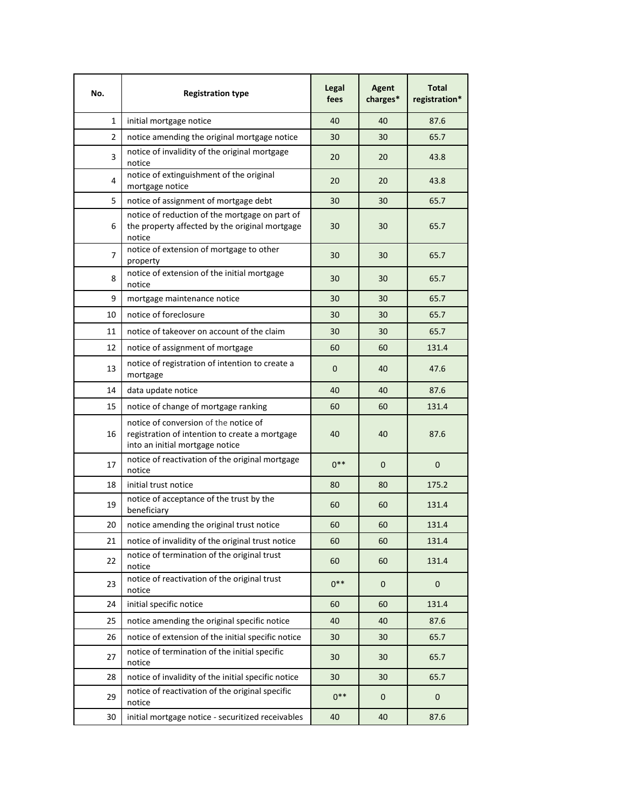| No. | <b>Registration type</b>                                                                                                   | Legal<br>fees | <b>Agent</b><br>charges* | <b>Total</b><br>registration* |
|-----|----------------------------------------------------------------------------------------------------------------------------|---------------|--------------------------|-------------------------------|
| 1   | initial mortgage notice                                                                                                    | 40            | 40                       | 87.6                          |
| 2   | notice amending the original mortgage notice                                                                               | 30            | 30                       | 65.7                          |
| 3   | notice of invalidity of the original mortgage<br>notice                                                                    | 20            | 20                       | 43.8                          |
| 4   | notice of extinguishment of the original<br>mortgage notice                                                                | 20            | 20                       | 43.8                          |
| 5   | notice of assignment of mortgage debt                                                                                      | 30            | 30                       | 65.7                          |
| 6   | notice of reduction of the mortgage on part of<br>the property affected by the original mortgage<br>notice                 | 30            | 30                       | 65.7                          |
| 7   | notice of extension of mortgage to other<br>property                                                                       | 30            | 30                       | 65.7                          |
| 8   | notice of extension of the initial mortgage<br>notice                                                                      | 30            | 30                       | 65.7                          |
| 9   | mortgage maintenance notice                                                                                                | 30            | 30                       | 65.7                          |
| 10  | notice of foreclosure                                                                                                      | 30            | 30                       | 65.7                          |
| 11  | notice of takeover on account of the claim                                                                                 | 30            | 30                       | 65.7                          |
| 12  | notice of assignment of mortgage                                                                                           | 60            | 60                       | 131.4                         |
| 13  | notice of registration of intention to create a<br>mortgage                                                                | $\mathbf 0$   | 40                       | 47.6                          |
| 14  | data update notice                                                                                                         | 40            | 40                       | 87.6                          |
| 15  | notice of change of mortgage ranking                                                                                       | 60            | 60                       | 131.4                         |
| 16  | notice of conversion of the notice of<br>registration of intention to create a mortgage<br>into an initial mortgage notice | 40            | 40                       | 87.6                          |
| 17  | notice of reactivation of the original mortgage<br>notice                                                                  | $0***$        | $\mathbf{0}$             | 0                             |
| 18  | initial trust notice                                                                                                       | 80            | 80                       | 175.2                         |
| 19  | notice of acceptance of the trust by the<br>beneficiary                                                                    | 60            | 60                       | 131.4                         |
| 20  | notice amending the original trust notice                                                                                  | 60            | 60                       | 131.4                         |
| 21  | notice of invalidity of the original trust notice                                                                          | 60            | 60                       | 131.4                         |
| 22  | notice of termination of the original trust<br>notice                                                                      | 60            | 60                       | 131.4                         |
| 23  | notice of reactivation of the original trust<br>notice                                                                     | $0***$        | 0                        | 0                             |
| 24  | initial specific notice                                                                                                    | 60            | 60                       | 131.4                         |
| 25  | notice amending the original specific notice                                                                               | 40            | 40                       | 87.6                          |
| 26  | notice of extension of the initial specific notice                                                                         | 30            | 30                       | 65.7                          |
| 27  | notice of termination of the initial specific<br>notice                                                                    | 30            | 30                       | 65.7                          |
| 28  | notice of invalidity of the initial specific notice                                                                        | 30            | 30                       | 65.7                          |
| 29  | notice of reactivation of the original specific<br>notice                                                                  | $0***$        | $\mathbf 0$              | 0                             |
| 30  | initial mortgage notice - securitized receivables                                                                          | 40            | 40                       | 87.6                          |